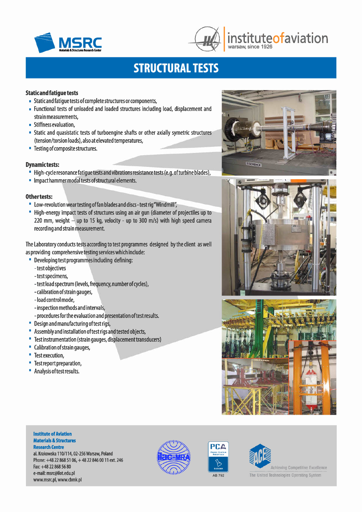



## **MSRC** *institute***ofaviation** warsaw, since 1926

# **STRUCTURAL TESTS**

### **Static and fatigue tests**

- Static and fatigue tests of complete structures or components,
- Functional tests of unloaded and loaded structures including load, displacement and strain measurements,
- Stiffness evaluation,
- Static and quasistatic tests of turboengine shafts or other axially symetric structures (tension/torsion loads), also at elevated temperatures,
- **Testing of composite structures.**

### **Dynamictests:**

- High-cycle resonance fatigue tests and vibrations resistance tests (e.g. ofturbine blades),
- Impact hammer modal tests ofstructural elements.

### Other tests:

- low-revolution wear testing offan blades and discs- test rig"Windmill'~
- High-energy impact tests of structures using an air gun (diameter of projectiles up to 220 mm, weight  $-$  up to 15 kg, velocity - up to 300 m/s) with high speed camera recording and strain measurement.

The laboratory conducts tests according to test programmes designed by the client as well as providing comprehensive testing services which include:

- Developing test programmes including defining:
	- -test objectives
	- -test specimens,
	- -test load spectrum (levels, frequency, number of cycles),
	- calibration ofstrain gauges,
	- -load control mode,
	- inspection methods and intervals,
	- procedures for the evaluation and presentation of test results.
- Design and manufacturing oftest rigs,
- Assembly and installation oftest rigs and tested objects,
- Test instrumentation (strain gauges, displacement transducers)
- Calibration ofstrain gauges,
- **Test execution,**
- **Test report preparation,**
- Analysisoftest results.

# **ESCHENCK**





### **Institute of Aviation Materials & Structures Research Centre**

al. Krakowska 110/114,02-256 Warsaw, Poland Phone: +48 22 868 51 06, +48 22 846 00 11 ext. 246 Fax:+48 22 868 56 80 e-mail: [msrc@ilot.edu.pl](mailto:msrc@ilot.edu.pl) [www.msrc.pl,](http://www.msrc.pl,) [www.cbmk.pl](http://www.cbmk.pl)